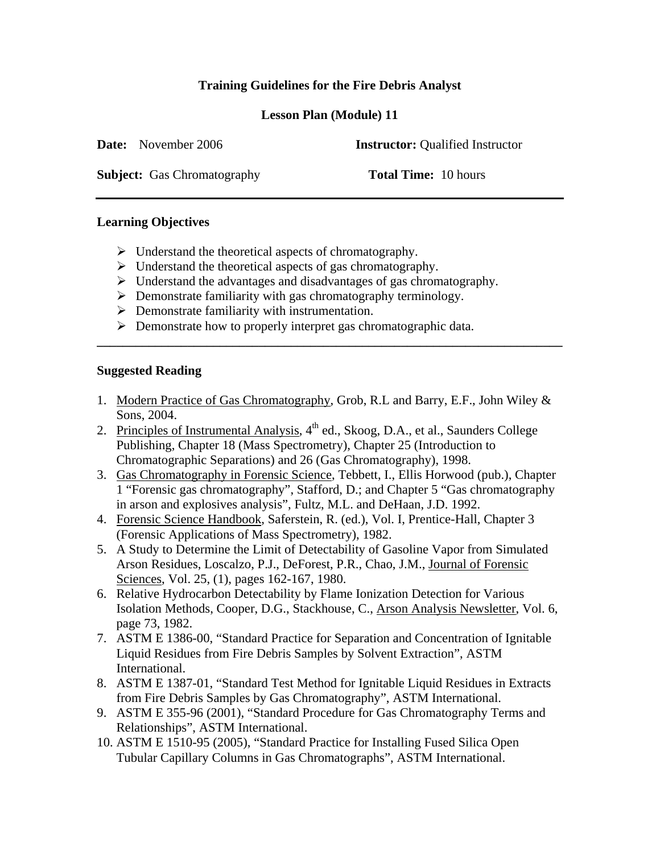# **Training Guidelines for the Fire Debris Analyst**

**Lesson Plan (Module) 11** 

**Date:** November 2006 **Instructor:** Oualified Instructor

**Subject:** Gas Chromatography **Total Time:** 10 hours

## **Learning Objectives**

- $\triangleright$  Understand the theoretical aspects of chromatography.
- $\triangleright$  Understand the theoretical aspects of gas chromatography.
- $\triangleright$  Understand the advantages and disadvantages of gas chromatography.
- $\triangleright$  Demonstrate familiarity with gas chromatography terminology.
- $\triangleright$  Demonstrate familiarity with instrumentation.
- $\triangleright$  Demonstrate how to properly interpret gas chromatographic data.

## **Suggested Reading**

1. Modern Practice of Gas Chromatography, Grob, R.L and Barry, E.F., John Wiley & Sons, 2004.

**\_\_\_\_\_\_\_\_\_\_\_\_\_\_\_\_\_\_\_\_\_\_\_\_\_\_\_\_\_\_\_\_\_\_\_\_\_\_\_\_\_\_\_\_\_\_\_\_\_\_\_\_\_\_\_\_\_\_\_\_\_\_\_\_\_\_\_\_\_\_\_\_** 

- 2. Principles of Instrumental Analysis,  $4<sup>th</sup>$  ed., Skoog, D.A., et al., Saunders College Publishing, Chapter 18 (Mass Spectrometry), Chapter 25 (Introduction to Chromatographic Separations) and 26 (Gas Chromatography), 1998.
- 3. Gas Chromatography in Forensic Science, Tebbett, I., Ellis Horwood (pub.), Chapter 1 "Forensic gas chromatography", Stafford, D.; and Chapter 5 "Gas chromatography in arson and explosives analysis", Fultz, M.L. and DeHaan, J.D. 1992.
- 4. Forensic Science Handbook, Saferstein, R. (ed.), Vol. I, Prentice-Hall, Chapter 3 (Forensic Applications of Mass Spectrometry), 1982.
- 5. A Study to Determine the Limit of Detectability of Gasoline Vapor from Simulated Arson Residues, Loscalzo, P.J., DeForest, P.R., Chao, J.M., Journal of Forensic Sciences, Vol. 25, (1), pages 162-167, 1980.
- 6. Relative Hydrocarbon Detectability by Flame Ionization Detection for Various Isolation Methods, Cooper, D.G., Stackhouse, C., Arson Analysis Newsletter, Vol. 6, page 73, 1982.
- 7. ASTM E 1386-00, "Standard Practice for Separation and Concentration of Ignitable Liquid Residues from Fire Debris Samples by Solvent Extraction", ASTM International.
- 8. ASTM E 1387-01, "Standard Test Method for Ignitable Liquid Residues in Extracts from Fire Debris Samples by Gas Chromatography", ASTM International.
- 9. ASTM E 355-96 (2001), "Standard Procedure for Gas Chromatography Terms and Relationships", ASTM International.
- 10. ASTM E 1510-95 (2005), "Standard Practice for Installing Fused Silica Open Tubular Capillary Columns in Gas Chromatographs", ASTM International.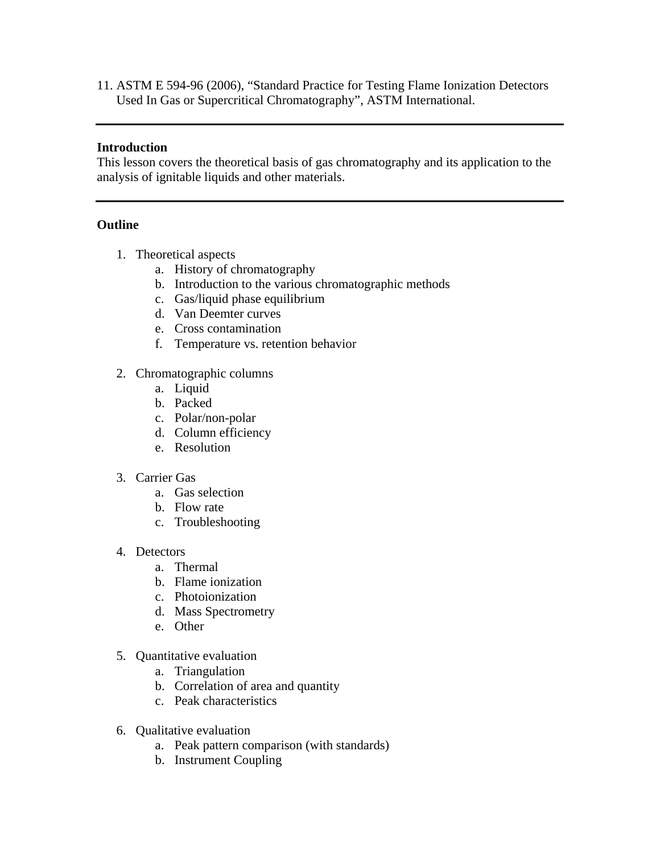11. ASTM E 594-96 (2006), "Standard Practice for Testing Flame Ionization Detectors Used In Gas or Supercritical Chromatography", ASTM International.

### **Introduction**

This lesson covers the theoretical basis of gas chromatography and its application to the analysis of ignitable liquids and other materials.

#### **Outline**

- 1. Theoretical aspects
	- a. History of chromatography
	- b. Introduction to the various chromatographic methods
	- c. Gas/liquid phase equilibrium
	- d. Van Deemter curves
	- e. Cross contamination
	- f. Temperature vs. retention behavior
- 2. Chromatographic columns
	- a. Liquid
	- b. Packed
	- c. Polar/non-polar
	- d. Column efficiency
	- e. Resolution
- 3. Carrier Gas
	- a. Gas selection
	- b. Flow rate
	- c. Troubleshooting
- 4. Detectors
	- a. Thermal
	- b. Flame ionization
	- c. Photoionization
	- d. Mass Spectrometry
	- e. Other
- 5. Quantitative evaluation
	- a. Triangulation
	- b. Correlation of area and quantity
	- c. Peak characteristics
- 6. Qualitative evaluation
	- a. Peak pattern comparison (with standards)
	- b. Instrument Coupling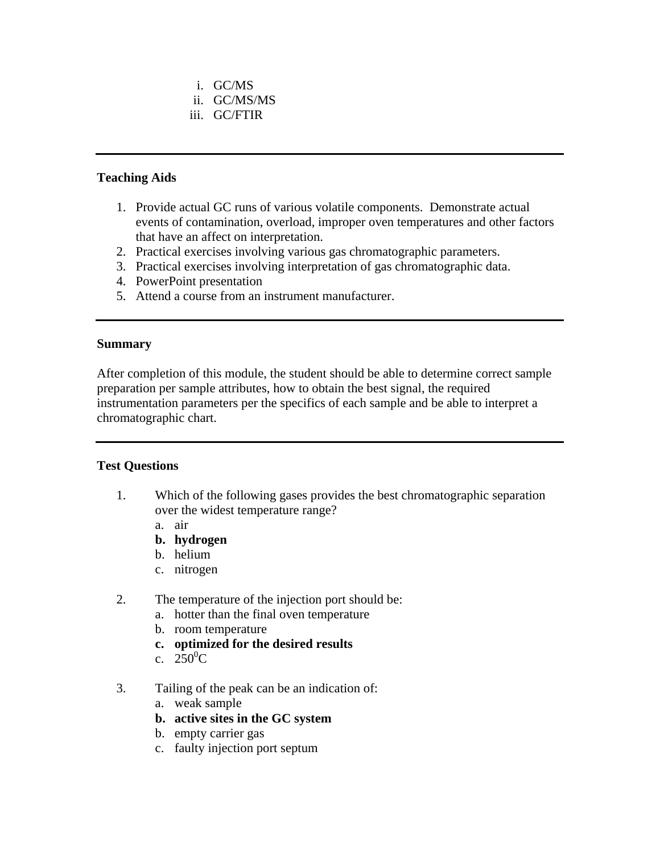- i. GC/MS
- ii. GC/MS/MS
- iii. GC/FTIR

### **Teaching Aids**

- 1. Provide actual GC runs of various volatile components. Demonstrate actual events of contamination, overload, improper oven temperatures and other factors that have an affect on interpretation.
- 2. Practical exercises involving various gas chromatographic parameters.
- 3. Practical exercises involving interpretation of gas chromatographic data.
- 4. PowerPoint presentation
- 5. Attend a course from an instrument manufacturer.

#### **Summary**

After completion of this module, the student should be able to determine correct sample preparation per sample attributes, how to obtain the best signal, the required instrumentation parameters per the specifics of each sample and be able to interpret a chromatographic chart.

#### **Test Questions**

- 1. Which of the following gases provides the best chromatographic separation over the widest temperature range?
	- a. air
	- **b. hydrogen**
	- b. helium
	- c. nitrogen
- 2. The temperature of the injection port should be:
	- a. hotter than the final oven temperature
	- b. room temperature
	- **c. optimized for the desired results**
	- c.  $250^0C$
- 3. Tailing of the peak can be an indication of:
	- a. weak sample
	- **b. active sites in the GC system**
	- b. empty carrier gas
	- c. faulty injection port septum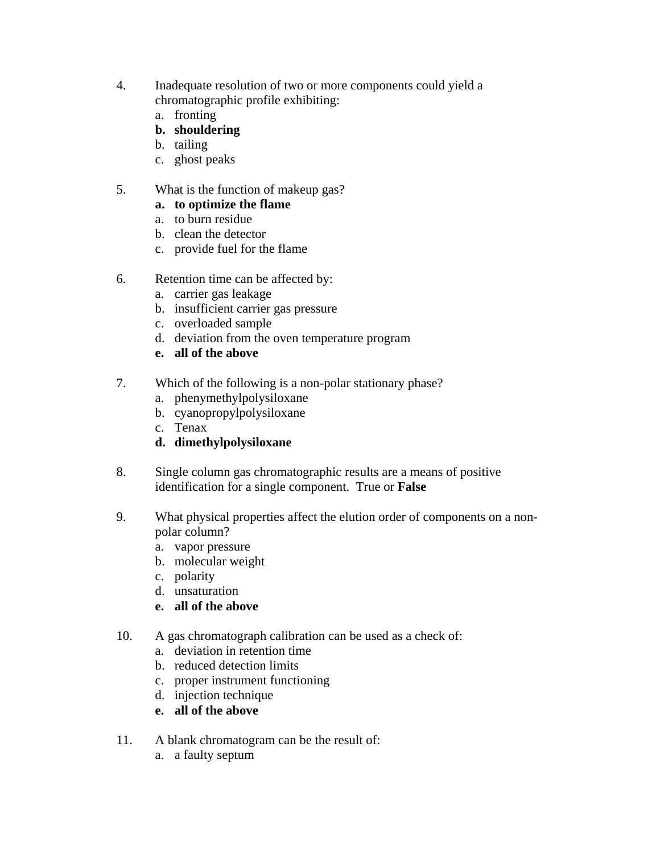- 4. Inadequate resolution of two or more components could yield a chromatographic profile exhibiting:
	- a. fronting
	- **b. shouldering**
	- b. tailing
	- c. ghost peaks
- 5. What is the function of makeup gas?

## **a. to optimize the flame**

- a. to burn residue
- b. clean the detector
- c. provide fuel for the flame
- 6. Retention time can be affected by:
	- a. carrier gas leakage
	- b. insufficient carrier gas pressure
	- c. overloaded sample
	- d. deviation from the oven temperature program
	- **e. all of the above**
- 7. Which of the following is a non-polar stationary phase?
	- a. phenymethylpolysiloxane
	- b. cyanopropylpolysiloxane
	- c. Tenax
	- **d. dimethylpolysiloxane**
- 8. Single column gas chromatographic results are a means of positive identification for a single component. True or **False**
- 9. What physical properties affect the elution order of components on a nonpolar column?
	- a. vapor pressure
	- b. molecular weight
	- c. polarity
	- d. unsaturation
	- **e. all of the above**
- 10. A gas chromatograph calibration can be used as a check of:
	- a. deviation in retention time
	- b. reduced detection limits
	- c. proper instrument functioning
	- d. injection technique
	- **e. all of the above**
- 11. A blank chromatogram can be the result of:
	- a. a faulty septum